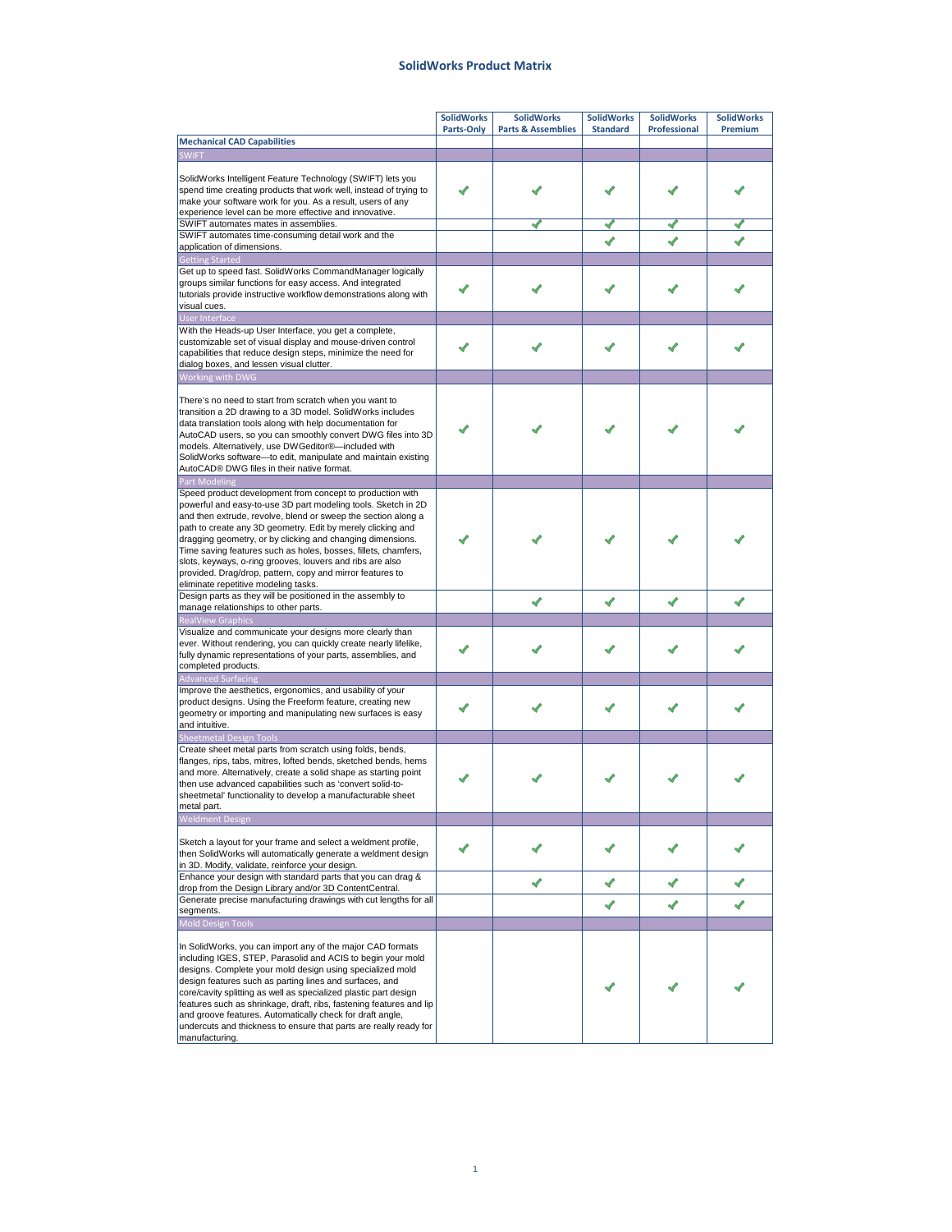## **SolidWorks Product Matrix**

|                                                                                                                                                                                                                                                                                                                                                                                                                                                                                                                                                              | <b>SolidWorks</b> | <b>SolidWorks</b>             | <b>SolidWorks</b> | <b>SolidWorks</b>   | <b>SolidWorks</b> |
|--------------------------------------------------------------------------------------------------------------------------------------------------------------------------------------------------------------------------------------------------------------------------------------------------------------------------------------------------------------------------------------------------------------------------------------------------------------------------------------------------------------------------------------------------------------|-------------------|-------------------------------|-------------------|---------------------|-------------------|
|                                                                                                                                                                                                                                                                                                                                                                                                                                                                                                                                                              | Parts-Only        | <b>Parts &amp; Assemblies</b> | <b>Standard</b>   | <b>Professional</b> | Premium           |
| <b>Mechanical CAD Capabilities</b>                                                                                                                                                                                                                                                                                                                                                                                                                                                                                                                           |                   |                               |                   |                     |                   |
| <b>SWIFT</b>                                                                                                                                                                                                                                                                                                                                                                                                                                                                                                                                                 |                   |                               |                   |                     |                   |
| SolidWorks Intelligent Feature Technology (SWIFT) lets you<br>spend time creating products that work well, instead of trying to<br>make your software work for you. As a result, users of any<br>experience level can be more effective and innovative.                                                                                                                                                                                                                                                                                                      |                   |                               |                   |                     |                   |
| SWIFT automates mates in assemblies.                                                                                                                                                                                                                                                                                                                                                                                                                                                                                                                         |                   |                               |                   |                     |                   |
| SWIFT automates time-consuming detail work and the                                                                                                                                                                                                                                                                                                                                                                                                                                                                                                           |                   |                               |                   |                     |                   |
| application of dimensions.                                                                                                                                                                                                                                                                                                                                                                                                                                                                                                                                   |                   |                               |                   |                     |                   |
| <b>Getting Started</b><br>Get up to speed fast. SolidWorks CommandManager logically<br>groups similar functions for easy access. And integrated<br>tutorials provide instructive workflow demonstrations along with<br>visual cues.                                                                                                                                                                                                                                                                                                                          |                   |                               |                   |                     |                   |
| <b>User Interface</b><br>With the Heads-up User Interface, you get a complete,<br>customizable set of visual display and mouse-driven control<br>capabilities that reduce design steps, minimize the need for<br>dialog boxes, and lessen visual clutter.                                                                                                                                                                                                                                                                                                    |                   |                               |                   |                     |                   |
| Working with DWG                                                                                                                                                                                                                                                                                                                                                                                                                                                                                                                                             |                   |                               |                   |                     |                   |
| There's no need to start from scratch when you want to<br>transition a 2D drawing to a 3D model. SolidWorks includes<br>data translation tools along with help documentation for<br>AutoCAD users, so you can smoothly convert DWG files into 3D<br>models. Alternatively, use DWGeditor®-included with<br>SolidWorks software-to edit, manipulate and maintain existing<br>AutoCAD® DWG files in their native format.                                                                                                                                       |                   |                               |                   |                     |                   |
| <b>Part Modeling</b>                                                                                                                                                                                                                                                                                                                                                                                                                                                                                                                                         |                   |                               |                   |                     |                   |
| Speed product development from concept to production with<br>powerful and easy-to-use 3D part modeling tools. Sketch in 2D<br>and then extrude, revolve, blend or sweep the section along a<br>path to create any 3D geometry. Edit by merely clicking and<br>dragging geometry, or by clicking and changing dimensions.<br>Time saving features such as holes, bosses, fillets, chamfers,<br>slots, keyways, o-ring grooves, louvers and ribs are also<br>provided. Drag/drop, pattern, copy and mirror features to<br>eliminate repetitive modeling tasks. |                   |                               |                   |                     |                   |
| Design parts as they will be positioned in the assembly to                                                                                                                                                                                                                                                                                                                                                                                                                                                                                                   |                   |                               |                   |                     |                   |
| manage relationships to other parts.                                                                                                                                                                                                                                                                                                                                                                                                                                                                                                                         |                   | ✔                             | ✔                 | ✔                   |                   |
| <b>RealView Graphics</b>                                                                                                                                                                                                                                                                                                                                                                                                                                                                                                                                     |                   |                               |                   |                     |                   |
| Visualize and communicate your designs more clearly than<br>ever. Without rendering, you can quickly create nearly lifelike,<br>fully dynamic representations of your parts, assemblies, and<br>completed products.                                                                                                                                                                                                                                                                                                                                          |                   |                               |                   |                     |                   |
| <b>Advanced Surfacing</b>                                                                                                                                                                                                                                                                                                                                                                                                                                                                                                                                    |                   |                               |                   |                     |                   |
| Improve the aesthetics, ergonomics, and usability of your<br>product designs. Using the Freeform feature, creating new<br>geometry or importing and manipulating new surfaces is easy<br>and intuitive.<br><b>Sheetmetal Design Tools</b>                                                                                                                                                                                                                                                                                                                    |                   |                               |                   |                     |                   |
| Create sheet metal parts from scratch using folds, bends,<br>flanges, rips, tabs, mitres, lofted bends, sketched bends, hems<br>and more. Alternatively, create a solid shape as starting point<br>then use advanced capabilities such as 'convert solid-to-                                                                                                                                                                                                                                                                                                 |                   |                               |                   |                     |                   |
| sheetmetal' functionality to develop a manufacturable sheet                                                                                                                                                                                                                                                                                                                                                                                                                                                                                                  |                   |                               |                   |                     |                   |
| metal part.                                                                                                                                                                                                                                                                                                                                                                                                                                                                                                                                                  |                   |                               |                   |                     |                   |
| <b>Weldment Design</b>                                                                                                                                                                                                                                                                                                                                                                                                                                                                                                                                       |                   |                               |                   |                     |                   |
| Sketch a layout for your frame and select a weldment profile,<br>then SolidWorks will automatically generate a weldment design<br>in 3D. Modify, validate, reinforce your design.                                                                                                                                                                                                                                                                                                                                                                            |                   |                               |                   |                     |                   |
| Enhance your design with standard parts that you can drag &                                                                                                                                                                                                                                                                                                                                                                                                                                                                                                  |                   | ✔                             | ✔                 | ✔                   |                   |
| drop from the Design Library and/or 3D ContentCentral.<br>Generate precise manufacturing drawings with cut lengths for all                                                                                                                                                                                                                                                                                                                                                                                                                                   |                   |                               |                   |                     |                   |
| segments.                                                                                                                                                                                                                                                                                                                                                                                                                                                                                                                                                    |                   |                               | ✔                 | ✔                   | ✔                 |
| <b>Mold Design Tools</b>                                                                                                                                                                                                                                                                                                                                                                                                                                                                                                                                     |                   |                               |                   |                     |                   |
| In SolidWorks, you can import any of the major CAD formats<br>including IGES, STEP, Parasolid and ACIS to begin your mold<br>designs. Complete your mold design using specialized mold<br>design features such as parting lines and surfaces, and<br>core/cavity splitting as well as specialized plastic part design<br>features such as shrinkage, draft, ribs, fastening features and lip<br>and groove features. Automatically check for draft angle,<br>undercuts and thickness to ensure that parts are really ready for<br>manufacturing.             |                   |                               |                   |                     |                   |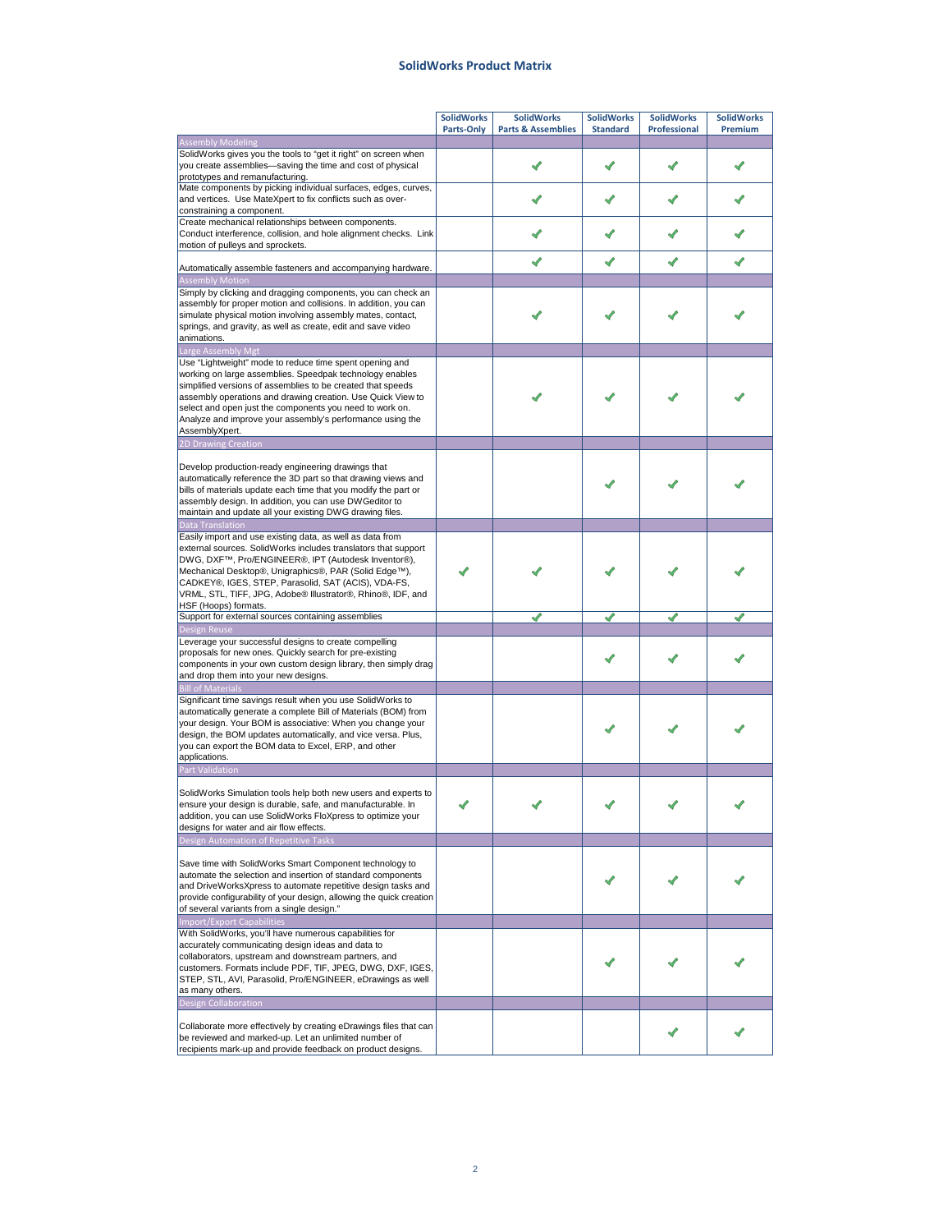## **SolidWorks Product Matrix**

|                                                                                                                                     | <b>SolidWorks</b> | <b>SolidWorks</b>             | <b>SolidWorks</b> | <b>SolidWorks</b> | <b>SolidWorks</b> |
|-------------------------------------------------------------------------------------------------------------------------------------|-------------------|-------------------------------|-------------------|-------------------|-------------------|
|                                                                                                                                     | Parts-Only        | <b>Parts &amp; Assemblies</b> | <b>Standard</b>   | Professional      | Premium           |
| <b>Assembly Modeling</b>                                                                                                            |                   |                               |                   |                   |                   |
| SolidWorks gives you the tools to "get it right" on screen when<br>you create assemblies-saving the time and cost of physical       |                   |                               |                   |                   |                   |
| prototypes and remanufacturing.                                                                                                     |                   |                               |                   |                   |                   |
| Mate components by picking individual surfaces, edges, curves,                                                                      |                   |                               |                   |                   |                   |
| and vertices. Use MateXpert to fix conflicts such as over-                                                                          |                   |                               |                   |                   |                   |
| constraining a component.                                                                                                           |                   |                               |                   |                   |                   |
| Create mechanical relationships between components.                                                                                 |                   |                               |                   |                   |                   |
| Conduct interference, collision, and hole alignment checks. Link<br>motion of pulleys and sprockets.                                |                   |                               |                   |                   |                   |
|                                                                                                                                     |                   |                               |                   |                   |                   |
| Automatically assemble fasteners and accompanying hardware.                                                                         |                   |                               |                   |                   |                   |
| <b>Assembly Motion</b>                                                                                                              |                   |                               |                   |                   |                   |
| Simply by clicking and dragging components, you can check an                                                                        |                   |                               |                   |                   |                   |
| assembly for proper motion and collisions. In addition, you can                                                                     |                   |                               |                   |                   |                   |
| simulate physical motion involving assembly mates, contact,<br>springs, and gravity, as well as create, edit and save video         |                   |                               |                   |                   |                   |
| animations.                                                                                                                         |                   |                               |                   |                   |                   |
| Large Assembly Mgt                                                                                                                  |                   |                               |                   |                   |                   |
| Use "Lightweight" mode to reduce time spent opening and                                                                             |                   |                               |                   |                   |                   |
| working on large assemblies. Speedpak technology enables                                                                            |                   |                               |                   |                   |                   |
| simplified versions of assemblies to be created that speeds                                                                         |                   |                               |                   |                   |                   |
| assembly operations and drawing creation. Use Quick View to                                                                         |                   |                               |                   |                   |                   |
| select and open just the components you need to work on.<br>Analyze and improve your assembly's performance using the               |                   |                               |                   |                   |                   |
| AssemblyXpert.                                                                                                                      |                   |                               |                   |                   |                   |
| 2D Drawing Creation                                                                                                                 |                   |                               |                   |                   |                   |
|                                                                                                                                     |                   |                               |                   |                   |                   |
| Develop production-ready engineering drawings that                                                                                  |                   |                               |                   |                   |                   |
| automatically reference the 3D part so that drawing views and                                                                       |                   |                               |                   |                   |                   |
| bills of materials update each time that you modify the part or                                                                     |                   |                               |                   |                   |                   |
| assembly design. In addition, you can use DWGeditor to<br>maintain and update all your existing DWG drawing files.                  |                   |                               |                   |                   |                   |
| Data Translation                                                                                                                    |                   |                               |                   |                   |                   |
| Easily import and use existing data, as well as data from                                                                           |                   |                               |                   |                   |                   |
| external sources. SolidWorks includes translators that support                                                                      |                   |                               |                   |                   |                   |
| DWG, DXF™, Pro/ENGINEER®, IPT (Autodesk Inventor®),                                                                                 |                   |                               |                   |                   |                   |
| Mechanical Desktop®, Unigraphics®, PAR (Solid Edge™),                                                                               |                   |                               |                   |                   |                   |
| CADKEY®, IGES, STEP, Parasolid, SAT (ACIS), VDA-FS,                                                                                 |                   |                               |                   |                   |                   |
| VRML, STL, TIFF, JPG, Adobe® Illustrator®, Rhino®, IDF, and                                                                         |                   |                               |                   |                   |                   |
| HSF (Hoops) formats.<br>Support for external sources containing assemblies                                                          |                   |                               |                   |                   |                   |
| <b>Design Reuse</b>                                                                                                                 |                   |                               |                   |                   |                   |
| Leverage your successful designs to create compelling                                                                               |                   |                               |                   |                   |                   |
| proposals for new ones. Quickly search for pre-existing                                                                             |                   |                               |                   |                   |                   |
| components in your own custom design library, then simply drag                                                                      |                   |                               |                   |                   |                   |
| and drop them into your new designs.                                                                                                |                   |                               |                   |                   |                   |
| <b>Bill of Materials</b>                                                                                                            |                   |                               |                   |                   |                   |
| Significant time savings result when you use SolidWorks to<br>automatically generate a complete Bill of Materials (BOM) from        |                   |                               |                   |                   |                   |
| your design. Your BOM is associative: When you change your                                                                          |                   |                               |                   |                   |                   |
| design, the BOM updates automatically, and vice versa. Plus,                                                                        |                   |                               |                   |                   |                   |
| you can export the BOM data to Excel, ERP, and other                                                                                |                   |                               |                   |                   |                   |
| applications.                                                                                                                       |                   |                               |                   |                   |                   |
| <b>Part Validation</b>                                                                                                              |                   |                               |                   |                   |                   |
|                                                                                                                                     |                   |                               |                   |                   |                   |
| SolidWorks Simulation tools help both new users and experts to                                                                      |                   |                               |                   |                   |                   |
| ensure your design is durable, safe, and manufacturable. In<br>addition, you can use SolidWorks FloXpress to optimize your          |                   |                               |                   |                   |                   |
| designs for water and air flow effects.                                                                                             |                   |                               |                   |                   |                   |
| Design Automation of Repetitive Tasks                                                                                               |                   |                               |                   |                   |                   |
|                                                                                                                                     |                   |                               |                   |                   |                   |
| Save time with SolidWorks Smart Component technology to                                                                             |                   |                               |                   |                   |                   |
| automate the selection and insertion of standard components                                                                         |                   |                               |                   |                   |                   |
| and DriveWorksXpress to automate repetitive design tasks and<br>provide configurability of your design, allowing the quick creation |                   |                               |                   |                   |                   |
| of several variants from a single design."                                                                                          |                   |                               |                   |                   |                   |
| <b>Import/Export Capabilities</b>                                                                                                   |                   |                               |                   |                   |                   |
| With SolidWorks, you'll have numerous capabilities for                                                                              |                   |                               |                   |                   |                   |
| accurately communicating design ideas and data to                                                                                   |                   |                               |                   |                   |                   |
| collaborators, upstream and downstream partners, and                                                                                |                   |                               |                   |                   |                   |
| customers. Formats include PDF, TIF, JPEG, DWG, DXF, IGES,                                                                          |                   |                               |                   |                   |                   |
| STEP, STL, AVI, Parasolid, Pro/ENGINEER, eDrawings as well                                                                          |                   |                               |                   |                   |                   |
| as many others.                                                                                                                     |                   |                               |                   |                   |                   |
| <b>Design Collaboration</b>                                                                                                         |                   |                               |                   |                   |                   |
| Collaborate more effectively by creating eDrawings files that can                                                                   |                   |                               |                   |                   |                   |
| be reviewed and marked-up. Let an unlimited number of                                                                               |                   |                               |                   |                   |                   |
| recipients mark-up and provide feedback on product designs.                                                                         |                   |                               |                   |                   |                   |